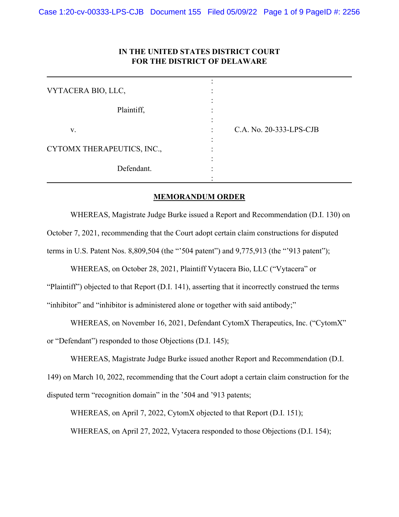## **IN THE UNITED STATES DISTRICT COURT FOR THE DISTRICT OF DELAWARE**

| VYTACERA BIO, LLC,         |                         |
|----------------------------|-------------------------|
| Plaintiff,                 |                         |
| V.                         | C.A. No. 20-333-LPS-CJB |
| CYTOMX THERAPEUTICS, INC., |                         |
| Defendant.                 |                         |

## **MEMORANDUM ORDER**

WHEREAS, Magistrate Judge Burke issued a Report and Recommendation (D.I. 130) on October 7, 2021, recommending that the Court adopt certain claim constructions for disputed terms in U.S. Patent Nos. 8,809,504 (the "'504 patent") and 9,775,913 (the "'913 patent");

WHEREAS, on October 28, 2021, Plaintiff Vytacera Bio, LLC ("Vytacera" or "Plaintiff") objected to that Report (D.I. 141), asserting that it incorrectly construed the terms "inhibitor" and "inhibitor is administered alone or together with said antibody;"

WHEREAS, on November 16, 2021, Defendant CytomX Therapeutics, Inc. ("CytomX"

or "Defendant") responded to those Objections (D.I. 145);

WHEREAS, Magistrate Judge Burke issued another Report and Recommendation (D.I.

149) on March 10, 2022, recommending that the Court adopt a certain claim construction for the disputed term "recognition domain" in the '504 and '913 patents;

WHEREAS, on April 7, 2022, CytomX objected to that Report (D.I. 151);

WHEREAS, on April 27, 2022, Vytacera responded to those Objections (D.I. 154);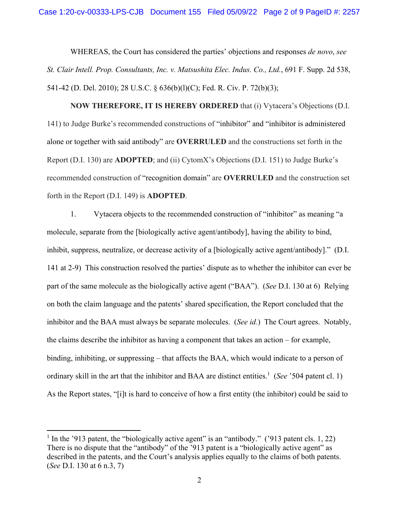WHEREAS, the Court has considered the parties' objections and responses *de novo*, *see St. Clair Intell. Prop. Consultants, Inc. v. Matsushita Elec. Indus. Co., Ltd.*, 691 F. Supp. 2d 538, 541-42 (D. Del. 2010); 28 U.S.C. § 636(b)(l)(C); Fed. R. Civ. P. 72(b)(3);

**NOW THEREFORE, IT IS HEREBY ORDERED** that (i) Vytacera's Objections (D.I. 141) to Judge Burke's recommended constructions of "inhibitor" and "inhibitor is administered alone or together with said antibody" are **OVERRULED** and the constructions set forth in the Report (D.I. 130) are **ADOPTED**; and (ii) CytomX's Objections (D.I. 151) to Judge Burke's recommended construction of "recognition domain" are **OVERRULED** and the construction set forth in the Report (D.I. 149) is **ADOPTED**.

1. Vytacera objects to the recommended construction of "inhibitor" as meaning "a molecule, separate from the [biologically active agent/antibody], having the ability to bind, inhibit, suppress, neutralize, or decrease activity of a [biologically active agent/antibody]." (D.I. 141 at 2-9) This construction resolved the parties' dispute as to whether the inhibitor can ever be part of the same molecule as the biologically active agent ("BAA"). (*See* D.I. 130 at 6) Relying on both the claim language and the patents' shared specification, the Report concluded that the inhibitor and the BAA must always be separate molecules. (*See id.*) The Court agrees. Notably, the claims describe the inhibitor as having a component that takes an action – for example, binding, inhibiting, or suppressing – that affects the BAA, which would indicate to a person of ordinary skill in the art that the inhibitor and BAA are distinct entities.<sup>1</sup> (*See* '504 patent cl. 1) As the Report states, "[i]t is hard to conceive of how a first entity (the inhibitor) could be said to

<sup>&</sup>lt;sup>1</sup> In the '913 patent, the "biologically active agent" is an "antibody." ('913 patent cls. 1, 22) There is no dispute that the "antibody" of the '913 patent is a "biologically active agent" as described in the patents, and the Court's analysis applies equally to the claims of both patents. (*See* D.I. 130 at 6 n.3, 7)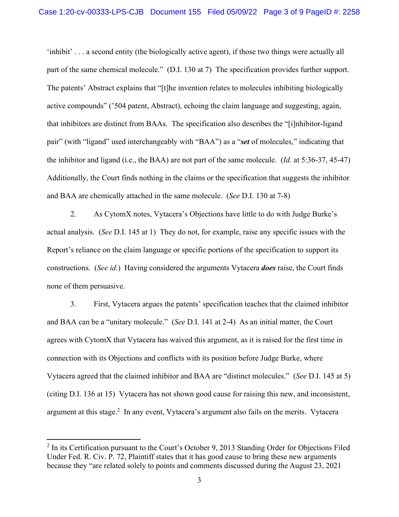'inhibit' . . . a second entity (the biologically active agent), if those two things were actually all part of the same chemical molecule." (D.I. 130 at 7) The specification provides further support. The patents' Abstract explains that "[t]he invention relates to molecules inhibiting biologically active compounds" ('504 patent, Abstract), echoing the claim language and suggesting, again, that inhibitors are distinct from BAAs. The specification also describes the "[i]nhibitor-ligand pair" (with "ligand" used interchangeably with "BAA") as a "*set* of molecules," indicating that the inhibitor and ligand (i.e., the BAA) are not part of the same molecule. (*Id.* at 5:36-37, 45-47) Additionally, the Court finds nothing in the claims or the specification that suggests the inhibitor and BAA are chemically attached in the same molecule. (*See* D.I. 130 at 7-8)

2. As CytomX notes, Vytacera's Objections have little to do with Judge Burke's actual analysis. (*See* D.I. 145 at 1) They do not, for example, raise any specific issues with the Report's reliance on the claim language or specific portions of the specification to support its constructions. (*See id.*) Having considered the arguments Vytacera *does* raise, the Court finds none of them persuasive.

3. First, Vytacera argues the patents' specification teaches that the claimed inhibitor and BAA can be a "unitary molecule." (*See* D.I. 141 at 2-4) As an initial matter, the Court agrees with CytomX that Vytacera has waived this argument, as it is raised for the first time in connection with its Objections and conflicts with its position before Judge Burke, where Vytacera agreed that the claimed inhibitor and BAA are "distinct molecules." (*See* D.I. 145 at 5) (citing D.I. 136 at 15) Vytacera has not shown good cause for raising this new, and inconsistent, argument at this stage.<sup>2</sup> In any event, Vytacera's argument also fails on the merits. Vytacera

 $2 \text{ In its certification pursuit to the Court's October 9, 2013 Standing Order for Objections Filed}$ Under Fed. R. Civ. P. 72, Plaintiff states that it has good cause to bring these new arguments because they "are related solely to points and comments discussed during the August 23, 2021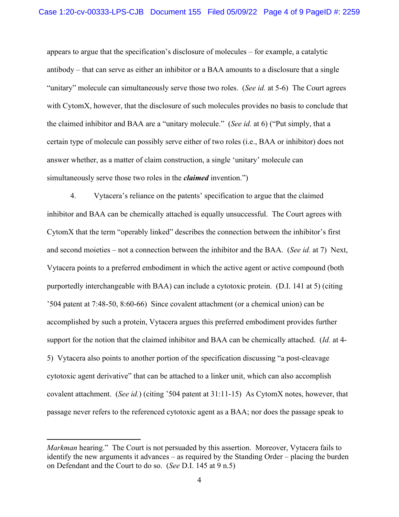appears to argue that the specification's disclosure of molecules – for example, a catalytic antibody – that can serve as either an inhibitor or a BAA amounts to a disclosure that a single "unitary" molecule can simultaneously serve those two roles. (*See id.* at 5-6) The Court agrees with CytomX, however, that the disclosure of such molecules provides no basis to conclude that the claimed inhibitor and BAA are a "unitary molecule." (*See id.* at 6) ("Put simply, that a certain type of molecule can possibly serve either of two roles (i.e., BAA or inhibitor) does not answer whether, as a matter of claim construction, a single 'unitary' molecule can simultaneously serve those two roles in the *claimed* invention.")

4. Vytacera's reliance on the patents' specification to argue that the claimed inhibitor and BAA can be chemically attached is equally unsuccessful. The Court agrees with CytomX that the term "operably linked" describes the connection between the inhibitor's first and second moieties – not a connection between the inhibitor and the BAA. (*See id.* at 7) Next, Vytacera points to a preferred embodiment in which the active agent or active compound (both purportedly interchangeable with BAA) can include a cytotoxic protein. (D.I. 141 at 5) (citing '504 patent at 7:48-50, 8:60-66) Since covalent attachment (or a chemical union) can be accomplished by such a protein, Vytacera argues this preferred embodiment provides further support for the notion that the claimed inhibitor and BAA can be chemically attached. (*Id.* at 4- 5) Vytacera also points to another portion of the specification discussing "a post-cleavage cytotoxic agent derivative" that can be attached to a linker unit, which can also accomplish covalent attachment. (*See id.*) (citing '504 patent at 31:11-15) As CytomX notes, however, that passage never refers to the referenced cytotoxic agent as a BAA; nor does the passage speak to

*Markman* hearing." The Court is not persuaded by this assertion. Moreover, Vytacera fails to identify the new arguments it advances – as required by the Standing Order – placing the burden on Defendant and the Court to do so. (*See* D.I. 145 at 9 n.5)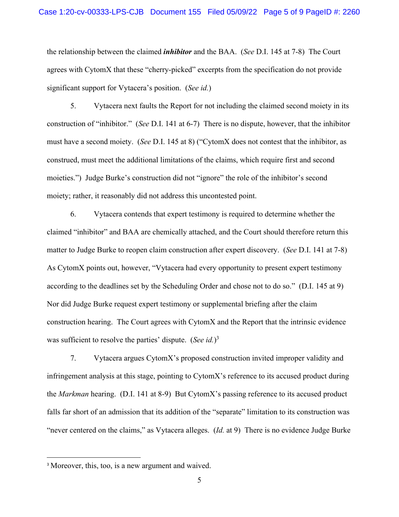the relationship between the claimed *inhibitor* and the BAA. (*See* D.I. 145 at 7-8) The Court agrees with CytomX that these "cherry-picked" excerpts from the specification do not provide significant support for Vytacera's position. (*See id.*)

5. Vytacera next faults the Report for not including the claimed second moiety in its construction of "inhibitor." (*See* D.I. 141 at 6-7) There is no dispute, however, that the inhibitor must have a second moiety. (*See* D.I. 145 at 8) ("CytomX does not contest that the inhibitor, as construed, must meet the additional limitations of the claims, which require first and second moieties.") Judge Burke's construction did not "ignore" the role of the inhibitor's second moiety; rather, it reasonably did not address this uncontested point.

 6. Vytacera contends that expert testimony is required to determine whether the claimed "inhibitor" and BAA are chemically attached, and the Court should therefore return this matter to Judge Burke to reopen claim construction after expert discovery. (*See* D.I. 141 at 7-8) As CytomX points out, however, "Vytacera had every opportunity to present expert testimony according to the deadlines set by the Scheduling Order and chose not to do so." (D.I. 145 at 9) Nor did Judge Burke request expert testimony or supplemental briefing after the claim construction hearing. The Court agrees with CytomX and the Report that the intrinsic evidence was sufficient to resolve the parties' dispute. (*See id.*) 3

 7. Vytacera argues CytomX's proposed construction invited improper validity and infringement analysis at this stage, pointing to CytomX's reference to its accused product during the *Markman* hearing. (D.I. 141 at 8-9) But CytomX's passing reference to its accused product falls far short of an admission that its addition of the "separate" limitation to its construction was "never centered on the claims," as Vytacera alleges. (*Id.* at 9) There is no evidence Judge Burke

<sup>&</sup>lt;sup>3</sup> Moreover, this, too, is a new argument and waived.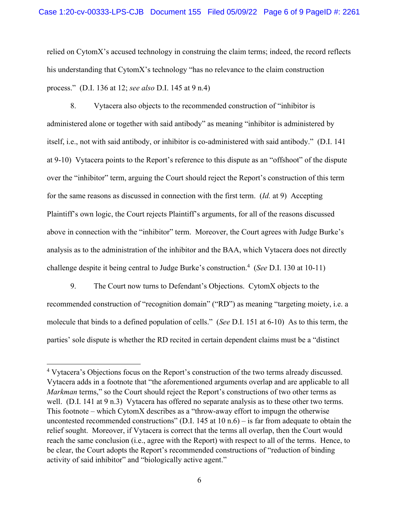relied on CytomX's accused technology in construing the claim terms; indeed, the record reflects his understanding that CytomX's technology "has no relevance to the claim construction process." (D.I. 136 at 12; *see also* D.I. 145 at 9 n.4)

 8. Vytacera also objects to the recommended construction of "inhibitor is administered alone or together with said antibody" as meaning "inhibitor is administered by itself, i.e., not with said antibody, or inhibitor is co-administered with said antibody." (D.I. 141 at 9-10) Vytacera points to the Report's reference to this dispute as an "offshoot" of the dispute over the "inhibitor" term, arguing the Court should reject the Report's construction of this term for the same reasons as discussed in connection with the first term. (*Id.* at 9) Accepting Plaintiff's own logic, the Court rejects Plaintiff's arguments, for all of the reasons discussed above in connection with the "inhibitor" term. Moreover, the Court agrees with Judge Burke's analysis as to the administration of the inhibitor and the BAA, which Vytacera does not directly challenge despite it being central to Judge Burke's construction.4 (*See* D.I. 130 at 10-11)

9. The Court now turns to Defendant's Objections. CytomX objects to the recommended construction of "recognition domain" ("RD") as meaning "targeting moiety, i.e. a molecule that binds to a defined population of cells." (*See* D.I. 151 at 6-10) As to this term, the parties' sole dispute is whether the RD recited in certain dependent claims must be a "distinct

<sup>&</sup>lt;sup>4</sup> Vytacera's Objections focus on the Report's construction of the two terms already discussed. Vytacera adds in a footnote that "the aforementioned arguments overlap and are applicable to all *Markman* terms," so the Court should reject the Report's constructions of two other terms as well. (D.I. 141 at 9 n.3) Vytacera has offered no separate analysis as to these other two terms. This footnote – which CytomX describes as a "throw-away effort to impugn the otherwise uncontested recommended constructions" (D.I. 145 at 10 n.6) – is far from adequate to obtain the relief sought. Moreover, if Vytacera is correct that the terms all overlap, then the Court would reach the same conclusion (i.e., agree with the Report) with respect to all of the terms. Hence, to be clear, the Court adopts the Report's recommended constructions of "reduction of binding activity of said inhibitor" and "biologically active agent."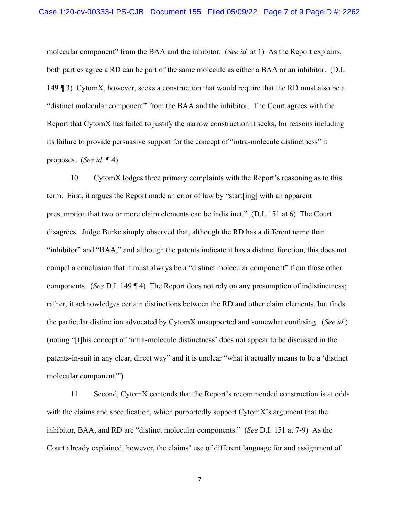molecular component" from the BAA and the inhibitor. (*See id.* at 1) As the Report explains, both parties agree a RD can be part of the same molecule as either a BAA or an inhibitor. (D.I. 149 ¶ 3) CytomX, however, seeks a construction that would require that the RD must also be a "distinct molecular component" from the BAA and the inhibitor. The Court agrees with the Report that CytomX has failed to justify the narrow construction it seeks, for reasons including its failure to provide persuasive support for the concept of "intra-molecule distinctness" it proposes. (*See id.* ¶ 4)

10. CytomX lodges three primary complaints with the Report's reasoning as to this term. First, it argues the Report made an error of law by "start[ing] with an apparent presumption that two or more claim elements can be indistinct." (D.I. 151 at 6) The Court disagrees. Judge Burke simply observed that, although the RD has a different name than "inhibitor" and "BAA," and although the patents indicate it has a distinct function, this does not compel a conclusion that it must always be a "distinct molecular component" from those other components. (*See* D.I. 149 ¶ 4) The Report does not rely on any presumption of indistinctness; rather, it acknowledges certain distinctions between the RD and other claim elements, but finds the particular distinction advocated by CytomX unsupported and somewhat confusing. (*See id.*) (noting "[t]his concept of 'intra-molecule distinctness' does not appear to be discussed in the patents-in-suit in any clear, direct way" and it is unclear "what it actually means to be a 'distinct molecular component'")

11. Second, CytomX contends that the Report's recommended construction is at odds with the claims and specification, which purportedly support CytomX's argument that the inhibitor, BAA, and RD are "distinct molecular components." (*See* D.I. 151 at 7-9) As the Court already explained, however, the claims' use of different language for and assignment of

7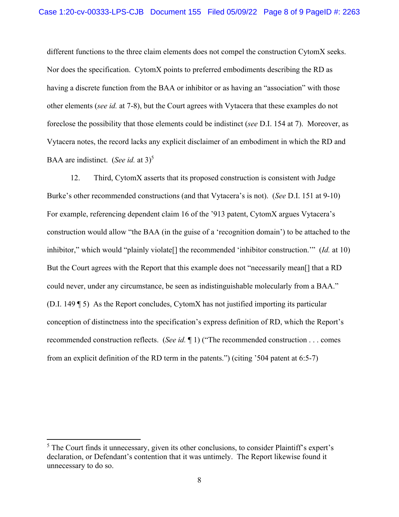different functions to the three claim elements does not compel the construction CytomX seeks. Nor does the specification. CytomX points to preferred embodiments describing the RD as having a discrete function from the BAA or inhibitor or as having an "association" with those other elements (*see id.* at 7-8), but the Court agrees with Vytacera that these examples do not foreclose the possibility that those elements could be indistinct (*see* D.I. 154 at 7). Moreover, as Vytacera notes, the record lacks any explicit disclaimer of an embodiment in which the RD and BAA are indistinct. (*See id.* at 3)<sup>5</sup>

12. Third, CytomX asserts that its proposed construction is consistent with Judge Burke's other recommended constructions (and that Vytacera's is not). (*See* D.I. 151 at 9-10) For example, referencing dependent claim 16 of the '913 patent, CytomX argues Vytacera's construction would allow "the BAA (in the guise of a 'recognition domain') to be attached to the inhibitor," which would "plainly violate[] the recommended 'inhibitor construction.'" (*Id.* at 10) But the Court agrees with the Report that this example does not "necessarily mean[] that a RD could never, under any circumstance, be seen as indistinguishable molecularly from a BAA." (D.I. 149 ¶ 5) As the Report concludes, CytomX has not justified importing its particular conception of distinctness into the specification's express definition of RD, which the Report's recommended construction reflects. (*See id.* ¶ 1) ("The recommended construction . . . comes from an explicit definition of the RD term in the patents.") (citing '504 patent at 6:5-7)

<sup>&</sup>lt;sup>5</sup> The Court finds it unnecessary, given its other conclusions, to consider Plaintiff's expert's declaration, or Defendant's contention that it was untimely. The Report likewise found it unnecessary to do so.